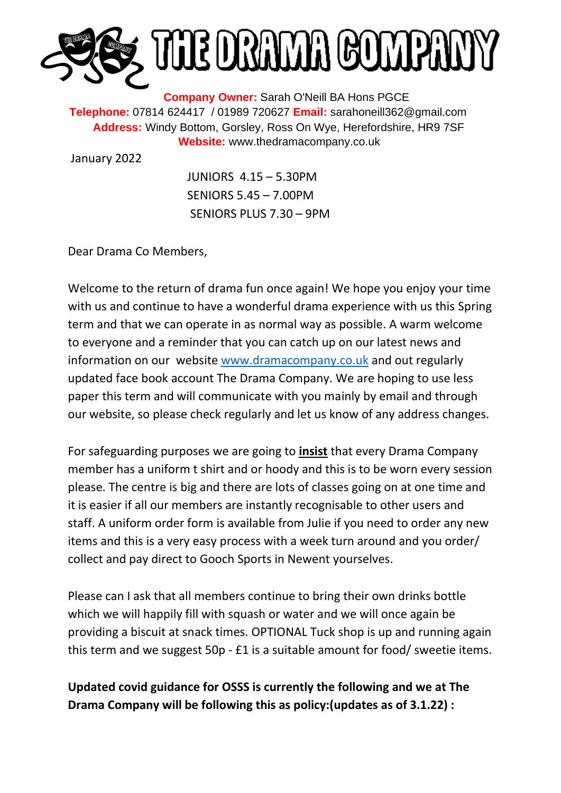

**Company Owner:** Sarah O'Neill BA Hons PGCE **Telephone:** 07814 624417 / 01989 720627 **Email:** sarahoneill362@gmail.com **Address:** Windy Bottom, Gorsley, Ross On Wye, Herefordshire, HR9 7SF **Website:** www.thedramacompany.co.uk

January 2022

 JUNIORS 4.15 – 5.30PM SENIORS 5.45 – 7.00PM SENIORS PLUS 7.30 – 9PM

Dear Drama Co Members,

Welcome to the return of drama fun once again! We hope you enjoy your time with us and continue to have a wonderful drama experience with us this Spring term and that we can operate in as normal way as possible. A warm welcome to everyone and a reminder that you can catch up on our latest news and information on our website [www.dramacompany.co.uk](http://www.dramacompany.co.uk/) and out regularly updated face book account The Drama Company. We are hoping to use less paper this term and will communicate with you mainly by email and through our website, so please check regularly and let us know of any address changes.

For safeguarding purposes we are going to **insist** that every Drama Company member has a uniform t shirt and or hoody and this is to be worn every session please. The centre is big and there are lots of classes going on at one time and it is easier if all our members are instantly recognisable to other users and staff. A uniform order form is available from Julie if you need to order any new items and this is a very easy process with a week turn around and you order/ collect and pay direct to Gooch Sports in Newent yourselves.

Please can I ask that all members continue to bring their own drinks bottle which we will happily fill with squash or water and we will once again be providing a biscuit at snack times. OPTIONAL Tuck shop is up and running again this term and we suggest 50p - £1 is a suitable amount for food/ sweetie items.

**Updated covid guidance for OSSS is currently the following and we at The Drama Company will be following this as policy:(updates as of 3.1.22) :**